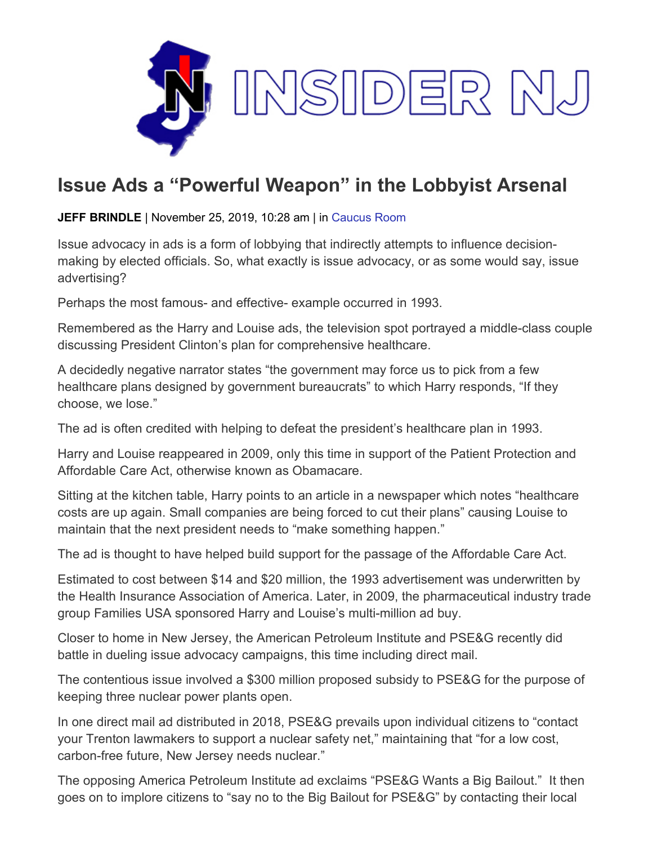

## **Issue Ads a "Powerful Weapon" in the Lobbyist Arsenal**

**JEFF BRINDLE** | November 25, 2019, 10:28 am | in [Caucus Room](https://www.insidernj.com/category/caucus-room/)

Issue advocacy in ads is a form of lobbying that indirectly attempts to influence decisionmaking by elected officials. So, what exactly is issue advocacy, or as some would say, issue advertising?

Perhaps the most famous- and effective- example occurred in 1993.

Remembered as the Harry and Louise ads, the television spot portrayed a middle-class couple discussing President Clinton's plan for comprehensive healthcare.

A decidedly negative narrator states "the government may force us to pick from a few healthcare plans designed by government bureaucrats" to which Harry responds, "If they choose, we lose."

The ad is often credited with helping to defeat the president's healthcare plan in 1993.

Harry and Louise reappeared in 2009, only this time in support of the Patient Protection and Affordable Care Act, otherwise known as Obamacare.

Sitting at the kitchen table, Harry points to an article in a newspaper which notes "healthcare costs are up again. Small companies are being forced to cut their plans" causing Louise to maintain that the next president needs to "make something happen."

The ad is thought to have helped build support for the passage of the Affordable Care Act.

Estimated to cost between \$14 and \$20 million, the 1993 advertisement was underwritten by the Health Insurance Association of America. Later, in 2009, the pharmaceutical industry trade group Families USA sponsored Harry and Louise's multi-million ad buy.

Closer to home in New Jersey, the American Petroleum Institute and PSE&G recently did battle in dueling issue advocacy campaigns, this time including direct mail.

The contentious issue involved a \$300 million proposed subsidy to PSE&G for the purpose of keeping three nuclear power plants open.

In one direct mail ad distributed in 2018, PSE&G prevails upon individual citizens to "contact your Trenton lawmakers to support a nuclear safety net," maintaining that "for a low cost, carbon-free future, New Jersey needs nuclear."

The opposing America Petroleum Institute ad exclaims "PSE&G Wants a Big Bailout." It then goes on to implore citizens to "say no to the Big Bailout for PSE&G" by contacting their local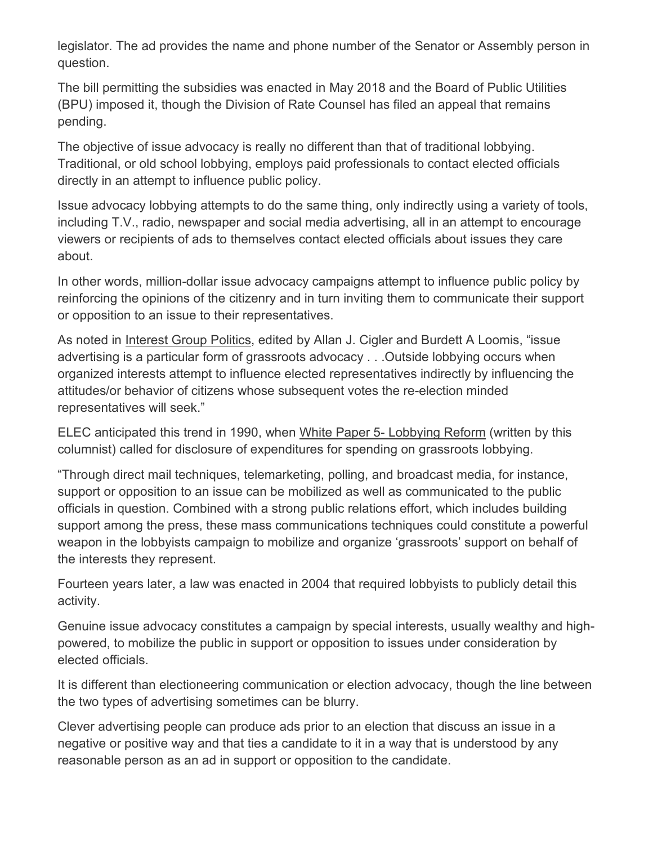legislator. The ad provides the name and phone number of the Senator or Assembly person in question.

The bill permitting the subsidies was enacted in May 2018 and the Board of Public Utilities (BPU) imposed it, though the Division of Rate Counsel has filed an appeal that remains pending.

The objective of issue advocacy is really no different than that of traditional lobbying. Traditional, or old school lobbying, employs paid professionals to contact elected officials directly in an attempt to influence public policy.

Issue advocacy lobbying attempts to do the same thing, only indirectly using a variety of tools, including T.V., radio, newspaper and social media advertising, all in an attempt to encourage viewers or recipients of ads to themselves contact elected officials about issues they care about.

In other words, million-dollar issue advocacy campaigns attempt to influence public policy by reinforcing the opinions of the citizenry and in turn inviting them to communicate their support or opposition to an issue to their representatives.

As noted in Interest Group Politics, edited by Allan J. Cigler and Burdett A Loomis, "issue advertising is a particular form of grassroots advocacy . . .Outside lobbying occurs when organized interests attempt to influence elected representatives indirectly by influencing the attitudes/or behavior of citizens whose subsequent votes the re-election minded representatives will seek."

ELEC anticipated this trend in 1990, when White Paper 5- Lobbying Reform (written by this columnist) called for disclosure of expenditures for spending on grassroots lobbying.

"Through direct mail techniques, telemarketing, polling, and broadcast media, for instance, support or opposition to an issue can be mobilized as well as communicated to the public officials in question. Combined with a strong public relations effort, which includes building support among the press, these mass communications techniques could constitute a powerful weapon in the lobbyists campaign to mobilize and organize 'grassroots' support on behalf of the interests they represent.

Fourteen years later, a law was enacted in 2004 that required lobbyists to publicly detail this activity.

Genuine issue advocacy constitutes a campaign by special interests, usually wealthy and highpowered, to mobilize the public in support or opposition to issues under consideration by elected officials.

It is different than electioneering communication or election advocacy, though the line between the two types of advertising sometimes can be blurry.

Clever advertising people can produce ads prior to an election that discuss an issue in a negative or positive way and that ties a candidate to it in a way that is understood by any reasonable person as an ad in support or opposition to the candidate.